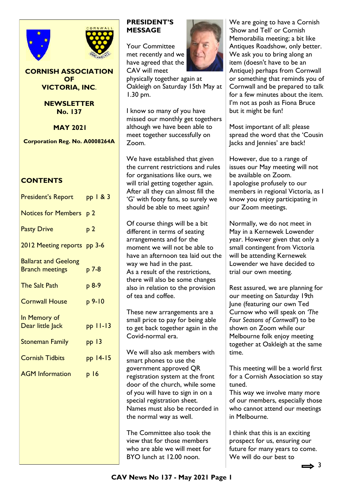



## **CORNISH ASSOCIATION OF VICTORIA, INC**.

**NEWSLETTER No. 137**

**MAY 2021**

**Corporation Reg. No. A0008264A** 

# **CONTENTS**

| <b>President's Report</b>                             | pp $\sqrt{83}$  |
|-------------------------------------------------------|-----------------|
| Notices for Members p 2                               |                 |
| <b>Pasty Drive</b>                                    | p <sub>2</sub>  |
| 2012 Meeting reports pp 3-6                           |                 |
| <b>Ballarat and Geelong</b><br><b>Branch meetings</b> | p 7-8           |
| <b>The Salt Path</b>                                  | p 8-9           |
| <b>Cornwall House</b>                                 | $p9-10$         |
| In Memory of<br>Dear little Jack                      | $pp$ $11-13$    |
| <b>Stoneman Family</b>                                | pp13            |
| <b>Cornish Tidbits</b>                                | pp 14-15        |
| <b>AGM Information</b>                                | p <sub>16</sub> |
|                                                       |                 |
|                                                       |                 |

# **PRESIDENT'S MESSAGE**

Your Committee met recently and we have agreed that the CAV will meet

physically together again at Oakleigh on Saturday 15th May at 1.30 pm.

I know so many of you have missed our monthly get togethers although we have been able to meet together successfully on Zoom.

We have established that given the current restrictions and rules for organisations like ours, we will trial getting together again. After all they can almost fill the 'G' with footy fans, so surely we should be able to meet again?

Of course things will be a bit different in terms of seating arrangements and for the moment we will not be able to have an afternoon tea laid out the way we had in the past. As a result of the restrictions, there will also be some changes also in relation to the provision of tea and coffee.

These new arrangements are a small price to pay for being able to get back together again in the Covid-normal era.

We will also ask members with smart phones to use the government approved QR registration system at the front door of the church, while some of you will have to sign in on a special registration sheet. Names must also be recorded in the normal way as well.

The Committee also took the view that for those members who are able we will meet for BYO lunch at 12.00 noon.



We are going to have a Cornish 'Show and Tell' or Cornish Memorabilia meeting; a bit like Antiques Roadshow, only better. We ask you to bring along an item (doesn't have to be an Antique) perhaps from Cornwall or something that reminds you of Cornwall and be prepared to talk for a few minutes about the item. I'm not as posh as Fiona Bruce but it might be fun!

Most important of all: please spread the word that the 'Cousin Jacks and Jennies' are back!

However, due to a range of issues our May meeting will not be available on Zoom. I apologise profusely to our members in regional Victoria, as I know you enjoy participating in our Zoom meetings.

Normally, we do not meet in May in a Kernewek Lowender year. However given that only a small contingent from Victoria will be attending Kernewek Lowender we have decided to trial our own meeting.

Rest assured, we are planning for our meeting on Saturday 19th June (featuring our own Ted Curnow who will speak on *'The Four Seasons of Cornwall'*) to be shown on Zoom while our Melbourne folk enjoy meeting together at Oakleigh at the same time.

This meeting will be a world first for a Cornish Association so stay tuned.

This way we involve many more of our members, especially those who cannot attend our meetings in Melbourne.

I think that this is an exciting prospect for us, ensuring our future for many years to come. We will do our best to

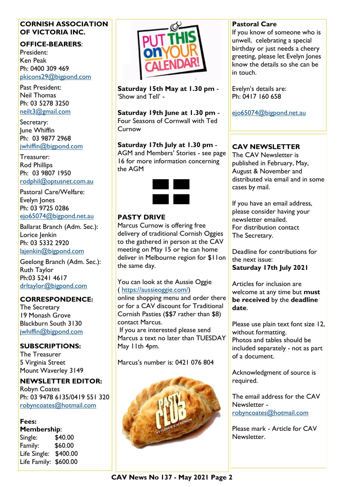# **CORNISH ASSOCIATION OF VICTORIA INC.**

# **OFFICE-BEARERS**:

President: Ken Peak Ph: 0400 309 469 [pkicons29@bigpond.com](mailto:pkicons29@bigpond.com)

Past President: Neil Thomas Ph: 03 5278 3250 [neilt3@gmail.com](mailto:neilt3@gmail.com)

Secretary: **Iune Whiffin** Ph: 03 9877 2968 [jwhiffin@bigpond.com](mailto:jwhiffin@bigpond.com)

Treasurer: Rod Phillips Ph: 03 9807 1950 [rodphil@optusnet.com.au](mailto:rodphil@optusnet.com.au)

Pastoral Care/Welfare: Evelyn Jones Ph: 03 9725 0286 [ejo65074@bigpond.net.au](mailto:ejo65074@bigpond.net.au)

Ballarat Branch (Adm. Sec.): Lorice Jenkin Ph: 03 5332 2920 [lajenkin@bigpond.com](mailto:lajenkin@bigpond.com)

Geelong Branch (Adm. Sec.): Ruth Taylor Ph:03 5241 4617 [drltaylor@bigpond.com](mailto:drltaylor@bigpond.com)

# **CORRESPONDENCE:**

The Secretary 19 Monash Grove Blackburn South 3130 [jwhiffin@bigpond.com](mailto:jwhiffin@bigpond.com)

# **SUBSCRIPTIONS:**

The Treasurer 5 Virginia Street Mount Waverley 3149

# **NEWSLETTER EDITOR:**

Robyn Coates Ph: 03 9478 6135/0419 551 320 [robyncoates@hotmail.com](mailto:robyncoates@hotmail.com)

# **Fees:**

**Membership**: Single: \$40.00 Family: \$60.00 Life Single: \$400.00 Life Family: \$600.00



**Saturday 15th May at 1.30 pm** - 'Show and Tell' -

**Saturday 19th June at 1.30 pm** - Four Seasons of Cornwall with Ted Curnow

#### **Saturday 17th July at 1.30 pm** - AGM and Members' Stories - see page 16 for more information concerning the AGM



# **PASTY DRIVE**

Marcus Curnow is offering free delivery of traditional Cornish Oggies to the gathered in person at the CAV meeting on May 15 or he can home deliver in Melbourne region for \$11on the same day.

## You can look at the Aussie Oggie ( [https://aussieoggie.com/\)](https://aussieoggie.com/)

online shopping menu and order there or for a CAV discount for Traditional Cornish Pasties (\$\$7 rather than \$8) contact Marcus.

If you are interested please send Marcus a text no later than TUESDAY May 11th 4pm.

Marcus's number is: 0421 076 804



# **Pastoral Care**

If you know of someone who is unwell, celebrating a special birthday or just needs a cheery greeting, please let Evelyn Jones know the details so she can be in touch.

Evelyn's details are: Ph: 0417 160 658

[ejo65074@bigpond.net.au](mailto:ejo65074@bigpond.net.au)

# **CAV NEWSLETTER**

The CAV Newsletter is published in February, May, August & November and distributed via email and in some cases by mail.

If you have an email address, please consider having your newsletter emailed. For distribution contact The Secretary.

Deadline for contributions for the next issue: **Saturday 17th July 2021** 

Articles for inclusion are welcome at any time but **must be received** by the **deadline date**.

Please use plain text font size 12, without formatting. Photos and tables should be included separately - not as part of a document.

Acknowledgment of source is required.

The email address for the CAV Newsletter [robyncoates@hotmail.com](mailto:robyncoates@hotmail.com)

Please mark - Article for CAV Newsletter.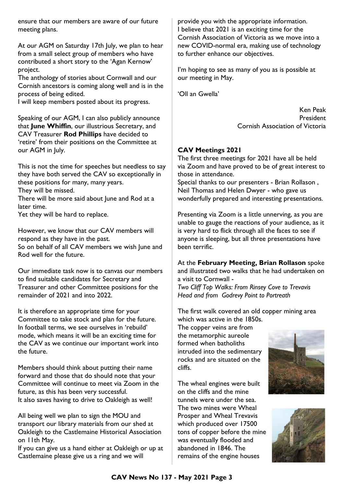ensure that our members are aware of our future meeting plans.

At our AGM on Saturday 17th July, we plan to hear from a small select group of members who have contributed a short story to the 'Agan Kernow' project.

The anthology of stories about Cornwall and our Cornish ancestors is coming along well and is in the process of being edited.

I will keep members posted about its progress.

Speaking of our AGM, I can also publicly announce that **June Whiffin**, our illustrious Secretary, and CAV Treasurer **Rod Phillips** have decided to 'retire' from their positions on the Committee at our AGM in July.

This is not the time for speeches but needless to say they have both served the CAV so exceptionally in these positions for many, many years. They will be missed.

There will be more said about June and Rod at a later time.

Yet they will be hard to replace.

However, we know that our CAV members will respond as they have in the past. So on behalf of all CAV members we wish June and Rod well for the future.

Our immediate task now is to canvas our members to find suitable candidates for Secretary and Treasurer and other Committee positions for the remainder of 2021 and into 2022.

It is therefore an appropriate time for your Committee to take stock and plan for the future. In football terms, we see ourselves in 'rebuild' mode, which means it will be an exciting time for the CAV as we continue our important work into the future.

Members should think about putting their name forward and those that do should note that your Committee will continue to meet via Zoom in the future, as this has been very successful. It also saves having to drive to Oakleigh as well!

All being well we plan to sign the MOU and transport our library materials from our shed at Oakleigh to the Castlemaine Historical Association on 11th May.

If you can give us a hand either at Oakleigh or up at Castlemaine please give us a ring and we will

provide you with the appropriate information. I believe that 2021 is an exciting time for the Cornish Association of Victoria as we move into a new COVID-normal era, making use of technology to further enhance our objectives.

I'm hoping to see as many of you as is possible at our meeting in May.

'Oll an Gwella'

Ken Peak President Cornish Association of Victoria

# **CAV Meetings 2021**

The first three meetings for 2021 have all be held via Zoom and have proved to be of great interest to those in attendance.

Special thanks to our presenters - Brian Rollason , Neil Thomas and Helen Dwyer - who gave us wonderfully prepared and interesting presentations.

Presenting via Zoom is a little unnerving, as you are unable to gauge the reactions of your audience, as it is very hard to flick through all the faces to see if anyone is sleeping, but all three presentations have been terrific.

At the **February Meeting, Brian Rollason** spoke and illustrated two walks that he had undertaken on a visit to Cornwall -

*Two Cliff Top Walks: From Rinsey Cove to Trevavis Head and from Godrevy Point to Portreath*

The first walk covered an old copper mining area which was active in the 1850s.

The copper veins are from the metamorphic aureole formed when batholiths intruded into the sedimentary rocks and are situated on the cliffs.

The wheal engines were built on the cliffs and the mine tunnels were under the sea. The two mines were Wheal Prosper and Wheal Trevavis which produced over 17500 tons of copper before the mine was eventually flooded and abandoned in 1846. The remains of the engine houses



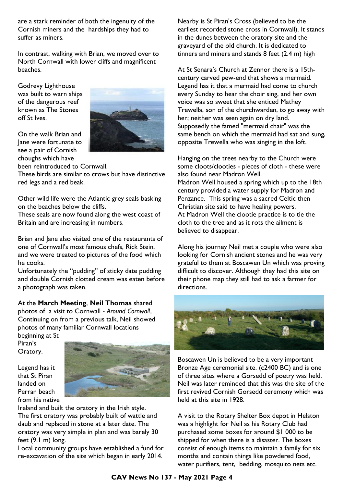are a stark reminder of both the ingenuity of the Cornish miners and the hardships they had to suffer as miners.

In contrast, walking with Brian, we moved over to North Cornwall with lower cliffs and magnificent beaches.

Godrevy Lighthouse was built to warn ships of the dangerous reef known as The Stones off St Ives.



been reintroduced to Cornwall.

These birds are similar to crows but have distinctive red legs and a red beak.

Other wild life were the Atlantic grey seals basking on the beaches below the cliffs.

These seals are now found along the west coast of Britain and are increasing in numbers.

Brian and Jane also visited one of the restaurants of one of Cornwall's most famous chefs, Rick Stein, and we were treated to pictures of the food which he cooks.

Unfortunately the "pudding" of sticky date pudding and double Cornish clotted cream was eaten before a photograph was taken.

At the **March Meeting**, **Neil Thomas** shared photos of a visit to Cornwall - *Around Cornwall..* Continuing on from a previous talk, Neil showed photos of many familiar Cornwall locations

beginning at St Piran's Oratory.

Legend has it that St Piran landed on Perran beach from his native



Ireland and built the oratory in the Irish style. The first oratory was probably built of wattle and daub and replaced in stone at a later date. The oratory was very simple in plan and was barely 30 feet (9.1 m) long.

Local community groups have established a fund for re-excavation of the site which began in early 2014.

Nearby is St Piran's Cross (believed to be the earliest recorded stone cross in Cornwall). It stands in the dunes between the oratory site and the graveyard of the old church. It is dedicated to tinners and miners and stands 8 feet (2.4 m) high

At St Senara's Church at Zennor there is a 15thcentury carved pew-end that shows a mermaid. Legend has it that a mermaid had come to church every Sunday to hear the choir sing, and her own voice was so sweet that she enticed Mathey Trewella, son of the churchwarden, to go away with her; neither was seen again on dry land. Supposedly the famed "mermaid chair" was the same bench on which the mermaid had sat and sung, opposite Trewella who was singing in the loft.

Hanging on the trees nearby to the Church were some cloots/clooties - pieces of cloth - these were also found near Madron Well. Madron Well housed a spring which up to the 18th century provided a water supply for Madron and Penzance. This spring was a sacred Celtic then Christian site said to have healing powers. At Madron Well the clootie practice is to tie the cloth to the tree and as it rots the ailment is believed to disappear.

Along his journey Neil met a couple who were also looking for Cornish ancient stones and he was very grateful to them at Boscawen Un which was proving difficult to discover. Although they had this site on their phone map they still had to ask a farmer for directions.



Boscawen Un is believed to be a very important Bronze Age ceremonial site. (c2400 BC) and is one of three sites where a Gorsedd of poetry was held. Neil was later reminded that this was the site of the first revived Cornish Gorsedd ceremony which was held at this site in 1928.

A visit to the Rotary Shelter Box depot in Helston was a highlight for Neil as his Rotary Club had purchased some boxes for around \$1 000 to be shipped for when there is a disaster. The boxes consist of enough items to maintain a family for six months and contain things like powdered food, water purifiers, tent, bedding, mosquito nets etc.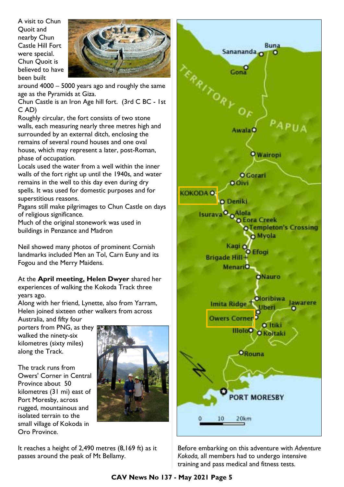A visit to Chun Quoit and nearby Chun Castle Hill Fort were special. Chun Quoit is believed to have been built



around 4000 – 5000 years ago and roughly the same age as the Pyramids at Giza.

Chun Castle is an Iron Age hill fort. (3rd C BC - 1st C AD)

Roughly circular, the fort consists of two stone walls, each measuring nearly three metres high and surrounded by an external ditch, enclosing the remains of several round houses and one oval house, which may represent a later, post-Roman, phase of occupation.

Locals used the water from a well within the inner walls of the fort right up until the 1940s, and water remains in the well to this day even during dry spells. It was used for domestic purposes and for superstitious reasons.

Pagans still make pilgrimages to Chun Castle on days of religious significance.

Much of the original stonework was used in buildings in Penzance and Madron

Neil showed many photos of prominent Cornish landmarks included Men an Tol, Carn Euny and its Fogou and the Merry Maidens.

#### At the **April meeting, Helen Dwyer** shared her experiences of walking the Kokoda Track three years ago.

Along with her friend, Lynette, also from Yarram, Helen joined sixteen other walkers from across

Australia, and fifty four porters from PNG, as they walked the ninety-six kilometres (sixty miles) along the Track.

The track runs from Owers' Corner in Central Province about 50 kilometres (31 mi) east of Port Moresby, across rugged, mountainous and isolated terrain to the small village of Kokoda in Oro Province.



It reaches a height of 2,490 metres (8,169 ft) as it passes around the peak of Mt Bellamy.



Before embarking on this adventure with *Adventure Kokoda,* all members had to undergo intensive training and pass medical and fitness tests.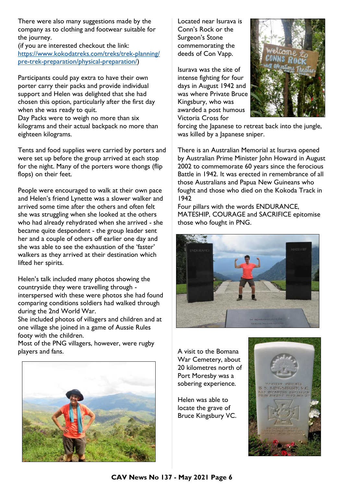There were also many suggestions made by the company as to clothing and footwear suitable for the journey.

(if you are interested checkout the link: [https://www.kokodatreks.com/treks/trek-planning/](https://www.kokodatreks.com/treks/trek-planning/pre-trek-preparation/physical-preparation/) [pre-trek-preparation/physical-preparation/\)](https://www.kokodatreks.com/treks/trek-planning/pre-trek-preparation/physical-preparation/)

Participants could pay extra to have their own porter carry their packs and provide individual support and Helen was delighted that she had chosen this option, particularly after the first day when she was ready to quit. Day Packs were to weigh no more than six

kilograms and their actual backpack no more than eighteen kilograms.

Tents and food supplies were carried by porters and were set up before the group arrived at each stop for the night. Many of the porters wore thongs (flip flops) on their feet.

People were encouraged to walk at their own pace and Helen's friend Lynette was a slower walker and arrived some time after the others and often felt she was struggling when she looked at the others who had already rehydrated when she arrived - she became quite despondent - the group leader sent her and a couple of others off earlier one day and she was able to see the exhaustion of the 'faster' walkers as they arrived at their destination which lifted her spirits.

Helen's talk included many photos showing the countryside they were travelling through interspersed with these were photos she had found comparing conditions soldiers had walked through during the 2nd World War.

She included photos of villagers and children and at one village she joined in a game of Aussie Rules footy with the children.

Most of the PNG villagers, however, were rugby players and fans.



Located near Isurava is Conn's Rock or the Surgeon's Stone commemorating the deeds of Con Vapp.

Isurava was the site of intense fighting for four days in August 1942 and was where Private Bruce Kingsbury, who was awarded a post humous Victoria Cross for



forcing the Japanese to retreat back into the jungle, was killed by a Japanese sniper.

There is an Australian Memorial at Isurava opened by Australian Prime Minister John Howard in August 2002 to commemorate 60 years since the ferocious Battle in 1942. It was erected in remembrance of all those Australians and Papua New Guineans who fought and those who died on the Kokoda Track in 1942

Four pillars with the words ENDURANCE, MATESHIP, COURAGE and SACRIFICE epitomise those who fought in PNG.



A visit to the Bomana War Cemetery, about 20 kilometres north of Port Moresby was a sobering experience.

Helen was able to locate the grave of Bruce Kingsbury VC.

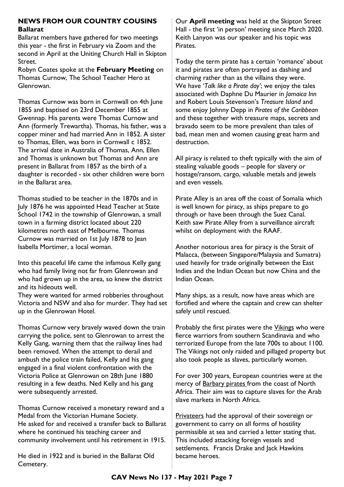### **NEWS FROM OUR COUNTRY COUSINS Ballarat**

Ballarat members have gathered for two meetings this year - the first in February via Zoom and the second in April at the Uniting Church Hall in Skipton Street.

Robyn Coates spoke at the **February Meeting** on Thomas Curnow, The School Teacher Hero at Glenrowan.

Thomas Curnow was born in Cornwall on 4th June 1855 and baptised on 23rd December 1855 at Gwennap. His parents were Thomas Curnow and Ann (formerly Trewartha). Thomas, his father, was a copper miner and had married Ann in 1852. A sister to Thomas, Ellen, was born in Cornwall c 1852. The arrival date in Australia of Thomas, Ann, Ellen and Thomas is unknown but Thomas and Ann are present in Ballarat from 1857 as the birth of a daughter is recorded - six other children were born in the Ballarat area.

Thomas studied to be teacher in the 1870s and in July 1876 he was appointed Head Teacher at State School 1742 in the township of Glenrowan, a small town in a farming district located about 220 kilometres north east of Melbourne. Thomas Curnow was married on 1st July 1878 to Jean Isabella Mortimer, a local woman.

Into this peaceful life came the infamous Kelly gang who had family living not far from Glenrowan and who had grown up in the area, so knew the district and its hideouts well.

They were wanted for armed robberies throughout Victoria and NSW and also for murder. They had set up in the Glenrowan Hotel.

Thomas Curnow very bravely waved down the train carrying the police, sent to Glenrowan to arrest the Kelly Gang, warning them that the railway lines had been removed. When the attempt to derail and ambush the police train failed, Kelly and his gang engaged in a final violent confrontation with the Victoria Police at Glenrowan on 28th June 1880 resulting in a few deaths. Ned Kelly and his gang were subsequently arrested.

Thomas Curnow received a monetary reward and a Medal from the Victorian Humane Society. He asked for and received a transfer back to Ballarat where he continued his teaching career and community involvement until his retirement in 1915.

He died in 1922 and is buried in the Ballarat Old Cemetery.

Our **April meeting** was held at the Skipton Street Hall - the first 'in person' meeting since March 2020. Keith Lanyon was our speaker and his topic was Pirates.

Today the term pirate has a certain 'romance' about it and pirates are often portrayed as dashing and charming rather than as the villains they were. We have '*Talk like a Pirate day'*; we enjoy the tales associated with Daphne Du Maurier in *Jamaica Inn* and Robert Louis Stevenson's *Treasure Island* and some enjoy Johnny Depp in *Pirates of the Caribbean* and these together with treasure maps, secrets and bravado seem to be more prevalent than tales of bad, mean men and women causing great harm and destruction.

All piracy is related to theft typically with the aim of stealing valuable goods – people for slavery or hostage/ransom, cargo, valuable metals and jewels and even vessels.

Pirate Alley is an area off the coast of Somalia which is well known for piracy, as ships prepare to go through or have been through the Suez Canal. Keith saw Pirate Alley from a surveillance aircraft whilst on deployment with the RAAF.

Another notorious area for piracy is the Strait of Malacca, (between Singapore/Malaysia and Sumatra) used heavily for trade originally between the East Indies and the Indian Ocean but now China and the Indian Ocean.

Many ships, as a result, now have areas which are fortified and where the captain and crew can shelter safely until rescued.

Probably the first pirates were the **Vikings** who were fierce warriors from southern Scandinavia and who terrorized Europe from the late 700s to about 1100. The Vikings not only raided and pillaged property but also took people as slaves, particularly women.

For over 300 years, European countries were at the mercy of **Barbary pirates** from the coast of North Africa. Their aim was to capture slaves for the Arab slave markets in North Africa.

Privateers had the approval of their sovereign or government to carry on all forms of hostility permissible at sea and carried a letter stating that. This included attacking foreign vessels and settlements. Francis Drake and Jack Hawkins became heroes.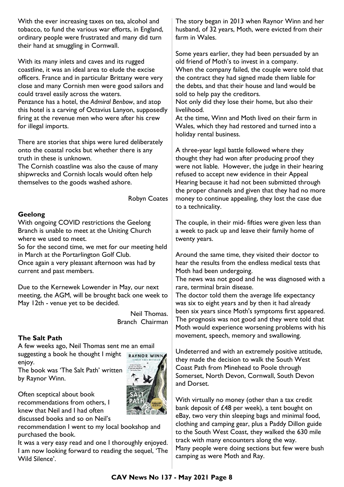With the ever increasing taxes on tea, alcohol and tobacco, to fund the various war efforts, in England, ordinary people were frustrated and many did turn their hand at smuggling in Cornwall.

With its many inlets and caves and its rugged coastline, it was an ideal area to elude the excise officers. France and in particular Brittany were very close and many Cornish men were good sailors and could travel easily across the waters. Penzance has a hotel, the *Admiral Benbow*, and atop this hotel is a carving of Octavius Lanyon, supposedly firing at the revenue men who were after his crew for illegal imports.

There are stories that ships were lured deliberately onto the coastal rocks but whether there is any truth in these is unknown.

The Cornish coastline was also the cause of many shipwrecks and Cornish locals would often help themselves to the goods washed ashore.

Robyn Coates

#### **Geelong**

With ongoing COVID restrictions the Geelong Branch is unable to meet at the Uniting Church where we used to meet.

So for the second time, we met for our meeting held in March at the Portarlington Golf Club.

Once again a very pleasant afternoon was had by current and past members.

Due to the Kernewek Lowender in May, our next meeting, the AGM, will be brought back one week to May 12th - venue yet to be decided.

> Neil Thomas. Branch Chairman

#### **The Salt Path**

A few weeks ago, Neil Thomas sent me an email suggesting a book he thought I might **RAYNOR WINN** enjoy.

The book was 'The Salt Path' written by Raynor Winn.

Often sceptical about book recommendations from others, I knew that Neil and I had often discussed books and so on Neil's

recommendation I went to my local bookshop and purchased the book.

It was a very easy read and one I thoroughly enjoyed. I am now looking forward to reading the sequel, 'The Wild Silence'.

The story began in 2013 when Raynor Winn and her husband, of 32 years, Moth, were evicted from their farm in Wales.

Some years earlier, they had been persuaded by an old friend of Moth's to invest in a company. When the company failed, the couple were told that the contract they had signed made them liable for the debts, and that their house and land would be sold to help pay the creditors.

Not only did they lose their home, but also their livelihood.

At the time, Winn and Moth lived on their farm in Wales, which they had restored and turned into a holiday rental business.

A three-year legal battle followed where they thought they had won after producing proof they were not liable. However, the judge in their hearing refused to accept new evidence in their Appeal Hearing because it had not been submitted through the proper channels and given that they had no more money to continue appealing, they lost the case due to a technicality.

The couple, in their mid- fifties were given less than a week to pack up and leave their family home of twenty years.

Around the same time, they visited their doctor to hear the results from the endless medical tests that Moth had been undergoing.

The news was not good and he was diagnosed with a rare, terminal brain disease.

The doctor told them the average life expectancy was six to eight years and by then it had already been six years since Moth's symptoms first appeared. The prognosis was not good and they were told that Moth would experience worsening problems with his movement, speech, memory and swallowing.

Undeterred and with an extremely positive attitude, they made the decision to walk the South West Coast Path from Minehead to Poole through Somerset, North Devon, Cornwall, South Devon and Dorset.

With virtually no money (other than a tax credit bank deposit of £48 per week), a tent bought on eBay, two very thin sleeping bags and minimal food, clothing and camping gear, plus a Paddy Dillon guide to the South West Coast, they walked the 630 mile track with many encounters along the way. Many people were doing sections but few were bush camping as were Moth and Ray.

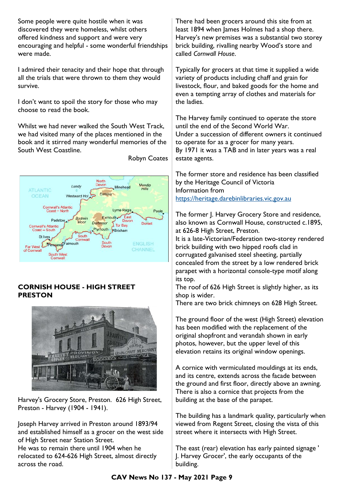Some people were quite hostile when it was discovered they were homeless, whilst others offered kindness and support and were very encouraging and helpful - some wonderful friendships were made.

I admired their tenacity and their hope that through all the trials that were thrown to them they would survive.

I don't want to spoil the story for those who may choose to read the book.

Whilst we had never walked the South West Track, we had visited many of the places mentioned in the book and it stirred many wonderful memories of the South West Coastline.



Robyn Coates

# **CORNISH HOUSE - HIGH STREET PRESTON**



Harvey's Grocery Store, Preston. 626 High Street, Preston - Harvey (1904 - 1941).

Joseph Harvey arrived in Preston around 1893/94 and established himself as a grocer on the west side of High Street near Station Street. He was to remain there until 1904 when he relocated to 624-626 High Street, almost directly across the road.

There had been grocers around this site from at least 1894 when James Holmes had a shop there. Harvey's new premises was a substantial two storey brick building, rivalling nearby Wood's store and called *Cornwall House*.

Typically for grocers at that time it supplied a wide variety of products including chaff and grain for livestock, flour, and baked goods for the home and even a tempting array of clothes and materials for the ladies.

The Harvey family continued to operate the store until the end of the Second World War. Under a succession of different owners it continued to operate for as a grocer for many years. By 1971 it was a TAB and in later years was a real estate agents.

The former store and residence has been classified by the Heritage Council of Victoria Information from <https://heritage.darebinlibraries.vic.gov.au>

The former J. Harvey Grocery Store and residence, also known as Cornwall House, constructed c.1895, at 626-8 High Street, Preston.

It is a late-Victorian/Federation two-storey rendered brick building with two hipped roofs clad in corrugated galvanised steel sheeting, partially concealed from the street by a low rendered brick parapet with a horizontal console-type motif along its top.

The roof of 626 High Street is slightly higher, as its shop is wider.

There are two brick chimneys on 628 High Street.

The ground floor of the west (High Street) elevation has been modified with the replacement of the original shopfront and verandah shown in early photos, however, but the upper level of this elevation retains its original window openings.

A cornice with vermiculated mouldings at its ends, and its centre, extends across the facade between the ground and first floor, directly above an awning. There is also a cornice that projects from the building at the base of the parapet.

The building has a landmark quality, particularly when viewed from Regent Street, closing the vista of this street where it intersects with High Street.

The east (rear) elevation has early painted signage ' J. Harvey Grocer', the early occupants of the building.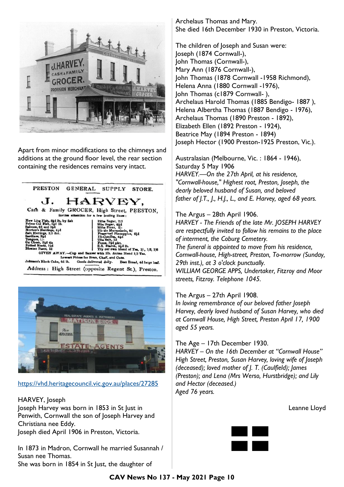

Apart from minor modifications to the chimneys and additions at the ground floor level, the rear section containing the residences remains very intact.





#### <https://vhd.heritagecouncil.vic.gov.au/places/27285>

#### HARVEY, Joseph

Joseph Harvey was born in 1853 in St Just in Penwith, Cornwall the son of Joseph Harvey and Christiana nee Eddy. Joseph died April 1906 in Preston, Victoria.

In 1873 in Madron, Cornwall he married Susannah / Susan nee Thomas. She was born in 1854 in St Just, the daughter of

Archelaus Thomas and Mary. She died 16th December 1930 in Preston, Victoria.

The children of Joseph and Susan were: Joseph (1874 Cornwall-), John Thomas (Cornwall-), Mary Ann (1876 Cornwall-), John Thomas (1878 Cornwall -1958 Richmond), Helena Anna (1880 Cornwall -1976), John Thomas (c1879 Cornwall-), Archelaus Harold Thomas (1885 Bendigo- 1887 ), Helena Albertha Thomas (1887 Bendigo - 1976), Archelaus Thomas (1890 Preston - 1892), Elizabeth Ellen (1892 Preston - 1924), Beatrice May (1894 Preston - 1894) Joseph Hector (1900 Preston-1925 Preston, Vic.).

Australasian (Melbourne, Vic. : 1864 - 1946), Saturday 5 May 1906 *HARVEY.—On the 27th April, at his residence, "Cornwall-house," Highest root, Preston, Joseph, the dearly beloved husband of Susan, and beloved father of J.T., J., H.J., L., and E. Harvey, aged 68 years.*

#### The Argus – 28th April 1906.

*HARVEY - The Friends of the late Mr. JOSEPH HARVEY are respectfully invited to follow his remains to the place of interment, the Coburg Cemetery. The funeral is appointed to move from his residence, Cornwall-house, High-street, Preston, To-morrow (Sunday, 29th inst.), at 3 o'clock punctually. WILLIAM GEORGE APPS, Undertaker, Fitzroy and Moor streets, Fitzroy. Telephone 1045.*

#### The Argus – 27th April 1908.

*In loving remembrance of our beloved father Joseph Harvey, dearly loved husband of Susan Harvey, who died at Cornwall House, High Street, Preston April 17, 1900 aged 55 years.* 

# The Age – 17th December 1930.

*HARVEY – On the 16th December at "Cornwall House" High Street, Preston, Susan Harvey, loving wife of Joseph (deceased); loved mother of J. T. (Caulfield); James (Preston); and Lena (Mrs Werso, Hurstbridge); and Lily and Hector (deceased.) Aged 76 years.* 

|  | Leanne Lloyd |  |  |  |
|--|--------------|--|--|--|
|--|--------------|--|--|--|

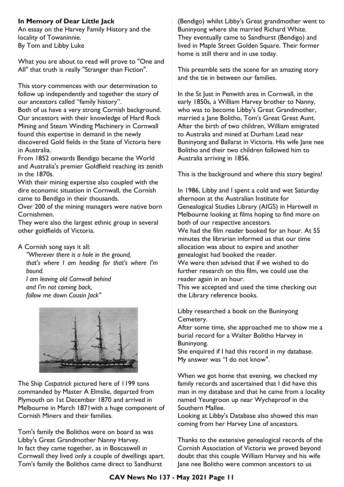# **In Memory of Dear Little Jack**

An essay on the Harvey Family History and the locality of Towaninnie. By Tom and Libby Luke

What you are about to read will prove to "One and All" that truth is really "Stranger than Fiction".

This story commences with our determination to follow up independently and together the story of our ancestors called "family history".

Both of us have a very strong Cornish background. Our ancestors with their knowledge of Hard Rock Mining and Steam Winding Machinery in Cornwall found this expertise in demand in the newly discovered Gold fields in the State of Victoria here in Australia.

From 1852 onwards Bendigo became the World and Australia's premier Goldfield reaching its zenith in the 1870s.

With their mining expertise also coupled with the dire economic situation in Cornwall, the Cornish came to Bendigo in their thousands.

Over 200 of the mining managers were native born Cornishmen.

They were also the largest ethnic group in several other goldfields of Victoria.

#### A Cornish song says it all:

*"Wherever there is a hole in the ground, that's where I am heading for that's where I'm bound. I am leaving old Cornwall behind* 

*and I'm not coming back, follow me down Cousin Jack"*



The Ship *Cospatrick* pictured here of 1199 tons commanded by Master A Elmslie, departed from Plymouth on 1st December 1870 and arrived in Melbourne in March 1871with a huge component of Cornish Miners and their families.

Tom's family the Bolithos were on board as was Libby's Great Grandmother Nanny Harvey. In fact they came together, as in Boscaswell in Cornwall they lived only a couple of dwellings apart. Tom's family the Bolithos came direct to Sandhurst

(Bendigo) whilst Libby's Great grandmother went to Buninyong where she married Richard White. They eventually came to Sandhurst (Bendigo) and lived in Maple Street Golden Square. Their former home is still there and in use today.

This preamble sets the scene for an amazing story and the tie in between our families.

In the St Just in Penwith area in Cornwall, in the early 1850s, a William Harvey brother to Nanny, who was to become Libby's Great Grandmother, married a Jane Bolitho, Tom's Great Great Aunt. After the birth of two children, William emigrated to Australia and mined at Durham Lead near Buninyong and Ballarat in Victoria. His wife Jane nee Bolitho and their two children followed him to Australia arriving in 1856.

This is the background and where this story begins!

In 1986, Libby and I spent a cold and wet Saturday afternoon at the Australian Institute for Genealogical Studies Library (AIGS) in Hartwell in Melbourne looking at films hoping to find more on both of our respective ancestors.

We had the film reader booked for an hour. At 55 minutes the librarian informed us that our time allocation was about to expire and another genealogist had booked the reader.

We were then advised that if we wished to do further research on this film, we could use the reader again in an hour.

This we accepted and used the time checking out the Library reference books.

Libby researched a book on the Buninyong Cemetery.

After some time, she approached me to show me a burial record for a Walter Bolitho Harvey in Buninyong.

She enquired if I had this record in my database. My answer was "I do not know".

When we got home that evening, we checked my family records and ascertained that I did have this man in my database and that he came from a locality named Yeungroon up near Wycheproof in the Southern Mallee.

Looking at Libby's Database also showed this man coming from her Harvey Line of ancestors.

Thanks to the extensive genealogical records of the Cornish Association of Victoria we proved beyond doubt that this couple William Harvey and his wife Jane nee Bolitho were common ancestors to us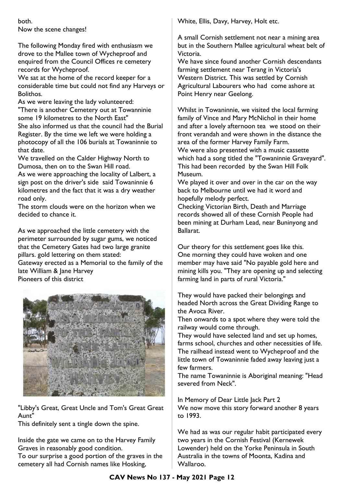both. Now the scene changes!

The following Monday fired with enthusiasm we drove to the Mallee town of Wycheproof and enquired from the Council Offices re cemetery records for Wycheproof.

We sat at the home of the record keeper for a considerable time but could not find any Harveys or Bolithos.

As we were leaving the lady volunteered: "There is another Cemetery out at Towanninie some 19 kilometres to the North East" She also informed us that the council had the Burial Register. By the time we left we were holding a photocopy of all the 106 burials at Towaninnie to that date.

We travelled on the Calder Highway North to Dumosa, then on to the Swan Hill road.

As we were approaching the locality of Lalbert, a sign post on the driver's side said Towaninnie 6 kilometres and the fact that it was a dry weather road only.

The storm clouds were on the horizon when we decided to chance it.

As we approached the little cemetery with the perimeter surrounded by sugar gums, we noticed that the Cemetery Gates had two large granite pillars. gold lettering on them stated: Gateway erected as a Memorial to the family of the

late William & Jane Harvey Pioneers of this district



"Libby's Great, Great Uncle and Tom's Great Great Aunt"

This definitely sent a tingle down the spine.

Inside the gate we came on to the Harvey Family Graves in reasonably good condition.

To our surprise a good portion of the graves in the cemetery all had Cornish names like Hosking,

White, Ellis, Davy, Harvey, Holt etc.

A small Cornish settlement not near a mining area but in the Southern Mallee agricultural wheat belt of Victoria.

We have since found another Cornish descendants farming settlement near Terang in Victoria's Western District. This was settled by Cornish Agricultural Labourers who had come ashore at Point Henry near Geelong.

Whilst in Towaninnie, we visited the local farming family of Vince and Mary McNichol in their home and after a lovely afternoon tea we stood on their front verandah and were shown in the distance the area of the former Harvey Family Farm. We were also presented with a music cassette which had a song titled the "Towaninnie Graveyard". This had been recorded by the Swan Hill Folk Museum.

We played it over and over in the car on the way back to Melbourne until we had it word and hopefully melody perfect.

Checking Victorian Birth, Death and Marriage records showed all of these Cornish People had been mining at Durham Lead, near Buninyong and Ballarat.

Our theory for this settlement goes like this. One morning they could have woken and one member may have said "No payable gold here and mining kills you. "They are opening up and selecting farming land in parts of rural Victoria."

They would have packed their belongings and headed North across the Great Dividing Range to the Avoca River.

Then onwards to a spot where they were told the railway would come through.

They would have selected land and set up homes, farms school, churches and other necessities of life. The railhead instead went to Wycheproof and the little town of Towaninnie faded away leaving just a few farmers.

The name Towaninnie is Aboriginal meaning: "Head severed from Neck".

In Memory of Dear Little Jack Part 2 We now move this story forward another 8 years to 1993.

We had as was our regular habit participated every two years in the Cornish Festival (Kernewek Lowender) held on the Yorke Peninsula in South Australia in the towns of Moonta, Kadina and Wallaroo.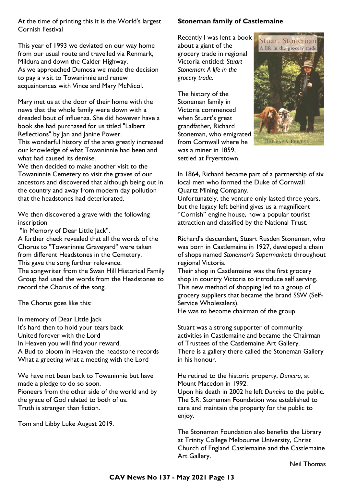At the time of printing this it is the World's largest Cornish Festival

This year of 1993 we deviated on our way home from our usual route and travelled via Renmark, Mildura and down the Calder Highway. As we approached Dumosa we made the decision to pay a visit to Towaninnie and renew acquaintances with Vince and Mary McNicol.

Mary met us at the door of their home with the news that the whole family were down with a dreaded bout of influenza. She did however have a book she had purchased for us titled "Lalbert Reflections" by Jan and Janine Power.

This wonderful history of the area greatly increased our knowledge of what Towaninnie had been and what had caused its demise.

We then decided to make another visit to the Towaninnie Cemetery to visit the graves of our ancestors and discovered that although being out in the country and away from modern day pollution that the headstones had deteriorated.

We then discovered a grave with the following inscription

"In Memory of Dear Little Jack".

A further check revealed that all the words of the Chorus to "Towaninnie Graveyard" were taken from different Headstones in the Cemetery. This gave the song further relevance. The songwriter from the Swan Hill Historical Family

Group had used the words from the Headstones to record the Chorus of the song.

The Chorus goes like this:

In memory of Dear Little Jack It's hard then to hold your tears back United forever with the Lord In Heaven you will find your reward. A Bud to bloom in Heaven the headstone records What a greeting what a meeting with the Lord

We have not been back to Towaninnie but have made a pledge to do so soon. Pioneers from the other side of the world and by the grace of God related to both of us. Truth is stranger than fiction.

Tom and Libby Luke August 2019.

#### **Stoneman family of Castlemaine**

Recently I was lent a book about a giant of the grocery trade in regional Victoria entitled: *Stuart Stoneman: A life in the grocery trade.*

The history of the Stoneman family in Victoria commenced when Stuart's great grandfather, Richard Stoneman, who emigrated from Cornwall where he was a miner in 1859, settled at Fryerstown.



In 1864, Richard became part of a partnership of six local men who formed the Duke of Cornwall Quartz Mining Company.

Unfortunately, the venture only lasted three years, but the legacy left behind gives us a magnificent "Cornish" engine house, now a popular tourist attraction and classified by the National Trust.

Richard's descendant, Stuart Rusden Stoneman, who was born in Castlemaine in 1927, developed a chain of shops named *Stoneman's Supermarkets* throughout regional Victoria.

Their shop in Castlemaine was the first grocery shop in country Victoria to introduce self serving. This new method of shopping led to a group of grocery suppliers that became the brand SSW (Self-Service Wholesalers).

He was to become chairman of the group.

Stuart was a strong supporter of community activities in Castlemaine and became the Chairman of Trustees of the Castlemaine Art Gallery. There is a gallery there called the Stoneman Gallery in his honour.

He retired to the historic property, *Duneira*, at Mount Macedon in 1992. Upon his death in 2002 he left *Duneira* to the public. The S.R. Stoneman Foundation was established to care and maintain the property for the public to enjoy.

The Stoneman Foundation also benefits the Library at Trinity College Melbourne University, Christ Church of England Castlemaine and the Castlemaine Art Gallery.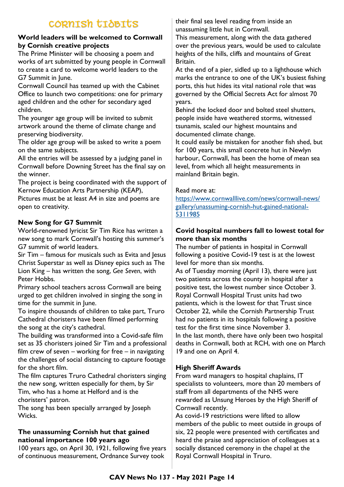# CORNISH TIDBITS

#### **World leaders will be welcomed to Cornwall by Cornish creative projects**

The Prime Minister will be choosing a poem and works of art submitted by young people in Cornwall to create a card to welcome world leaders to the G7 Summit in June.

Cornwall Council has teamed up with the Cabinet Office to launch two competitions: one for primary aged children and the other for secondary aged children.

The younger age group will be invited to submit artwork around the theme of climate change and preserving biodiversity.

The older age group will be asked to write a poem on the same subjects.

All the entries will be assessed by a judging panel in Cornwall before Downing Street has the final say on the winner.

The project is being coordinated with the support of Kernow Education Arts Partnership (KEAP),

Pictures must be at least A4 in size and poems are open to creativity.

# **New Song for G7 Summit**

World-renowned lyricist Sir Tim Rice has written a new song to mark Cornwall's hosting this summer's G7 summit of world leaders.

Sir Tim – famous for musicals such as Evita and Jesus Christ Superstar as well as Disney epics such as The Lion King – has written the song, *Gee Seven*, with Peter Hobbs.

Primary school teachers across Cornwall are being urged to get children involved in singing the song in time for the summit in June.

To inspire thousands of children to take part, Truro Cathedral choristers have been filmed performing the song at the city's cathedral.

The building was transformed into a Covid-safe film set as 35 choristers joined Sir Tim and a professional film crew of seven – working for free – in navigating the challenges of social distancing to capture footage for the short film.

The film captures Truro Cathedral choristers singing the new song, written especially for them, by Sir Tim, who has a home at Helford and is the choristers' patron.

The song has been specially arranged by Joseph Wicks.

# **The unassuming Cornish hut that gained national importance 100 years ago**

100 years ago, on April 30, 1921, following five years of continuous measurement, Ordnance Survey took

their final sea level reading from inside an unassuming little hut in Cornwall.

This measurement, along with the data gathered over the previous years, would be used to calculate heights of the hills, cliffs and mountains of Great Britain.

At the end of a pier, sidled up to a lighthouse which marks the entrance to one of the UK's busiest fishing ports, this hut hides its vital national role that was governed by the Official Secrets Act for almost 70 years.

Behind the locked door and bolted steel shutters, people inside have weathered storms, witnessed tsunamis, scaled our highest mountains and documented climate change.

It could easily be mistaken for another fish shed, but for 100 years, this small concrete hut in Newlyn harbour, Cornwall, has been the home of mean sea level, from which all height measurements in mainland Britain begin.

## Read more at:

[https://www.cornwalllive.com/news/cornwall-news/](https://www.cornwalllive.com/news/cornwall-news/gallery/unassuming-cornish-hut-gained-national-5311985) [gallery/unassuming-cornish-hut-gained-national-](https://www.cornwalllive.com/news/cornwall-news/gallery/unassuming-cornish-hut-gained-national-5311985)[5311985](https://www.cornwalllive.com/news/cornwall-news/gallery/unassuming-cornish-hut-gained-national-5311985)

## **Covid hospital numbers fall to lowest total for more than six months**

The number of patients in hospital in Cornwall following a positive Covid-19 test is at the lowest level for more than six months.

As of Tuesday morning (April 13), there were just two patients across the county in hospital after a positive test, the lowest number since October 3. Royal Cornwall Hospital Trust units had two patients, which is the lowest for that Trust since October 22, while the Cornish Partnership Trust had no patients in its hospitals following a positive test for the first time since November 3. In the last month, there have only been two hospital deaths in Cornwall, both at RCH, with one on March 19 and one on April 4.

# **High Sheriff Awards**

From ward managers to hospital chaplains, IT specialists to volunteers, more than 20 members of staff from all departments of the NHS were rewarded as Unsung Heroes by the High Sheriff of Cornwall recently.

As covid-19 restrictions were lifted to allow members of the public to meet outside in groups of six, 22 people were presented with certificates and heard the praise and appreciation of colleagues at a socially distanced ceremony in the chapel at the Royal Cornwall Hospital in Truro.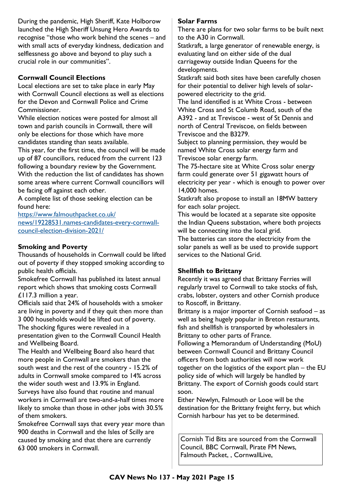During the pandemic, High Sheriff, Kate Holborow launched the High Sheriff Unsung Hero Awards to recognise "those who work behind the scenes – and with small acts of everyday kindness, dedication and selflessness go above and beyond to play such a crucial role in our communities".

## **Cornwall Council Elections**

Local elections are set to take place in early May with Cornwall Council elections as well as elections for the Devon and Cornwall Police and Crime Commissioner.

While election notices were posted for almost all town and parish councils in Cornwall, there will only be elections for those which have more candidates standing than seats available.

This year, for the first time, the council will be made up of 87 councillors, reduced from the current 123 following a boundary review by the Government. With the reduction the list of candidates has shown some areas where current Cornwall councillors will be facing off against each other.

A complete list of those seeking election can be found here:

[https://www.falmouthpacket.co.uk/](https://www.falmouthpacket.co.uk/news/19228531.names-candidates-every-cornwall-council-election-division-2021/) [news/19228531.names-candidates-every-cornwall](https://www.falmouthpacket.co.uk/news/19228531.names-candidates-every-cornwall-council-election-division-2021/)[council-election-division-2021/](https://www.falmouthpacket.co.uk/news/19228531.names-candidates-every-cornwall-council-election-division-2021/)

# **Smoking and Poverty**

Thousands of households in Cornwall could be lifted out of poverty if they stopped smoking according to public health officials.

Smokefree Cornwall has published its latest annual report which shows that smoking costs Cornwall £117.3 million a year.

Officials said that 24% of households with a smoker are living in poverty and if they quit then more than 3 000 households would be lifted out of poverty.

The shocking figures were revealed in a presentation given to the Cornwall Council Health and Wellbeing Board.

The Health and Wellbeing Board also heard that more people in Cornwall are smokers than the south west and the rest of the country - 15.2% of adults in Cornwall smoke compared to 14% across the wider south west and 13.9% in England. Surveys have also found that routine and manual workers in Cornwall are two-and-a-half times more likely to smoke than those in other jobs with 30.5% of them smokers.

Smokefree Cornwall says that every year more than 900 deaths in Cornwall and the Isles of Scilly are caused by smoking and that there are currently 63 000 smokers in Cornwall.

#### **Solar Farms**

There are plans for two solar farms to be built next to the A30 in Cornwall.

Statkraft, a large generator of renewable energy, is evaluating land on either side of the dual carriageway outside Indian Queens for the developments.

Statkraft said both sites have been carefully chosen for their potential to deliver high levels of solarpowered electricity to the grid.

The land identified is at White Cross - between White Cross and St Columb Road, south of the A392 - and at Treviscoe - west of St Dennis and north of Central Treviscoe, on fields between Treviscoe and the B3279.

Subject to planning permission, they would be named White Cross solar energy farm and Treviscoe solar energy farm.

The 75-hectare site at White Cross solar energy farm could generate over 51 gigawatt hours of electricity per year - which is enough to power over 14,000 homes.

Statkraft also propose to install an 18MW battery for each solar project.

This would be located at a separate site opposite the Indian Queens substation, where both projects will be connecting into the local grid.

The batteries can store the electricity from the solar panels as well as be used to provide support services to the National Grid.

# **Shellfish to Brittany**

Recently it was agreed that Brittany Ferries will regularly travel to Cornwall to take stocks of fish, crabs, lobster, oysters and other Cornish produce to Roscoff, in Brittany.

Brittany is a major importer of Cornish seafood – as well as being hugely popular in Breton restaurants, fish and shellfish is transported by wholesalers in Brittany to other parts of France.

Following a Memorandum of Understanding (MoU) between Cornwall Council and Brittany Council officers from both authorities will now work together on the logistics of the export plan – the EU policy side of which will largely be handled by Brittany. The export of Cornish goods could start soon.

Either Newlyn, Falmouth or Looe will be the destination for the Brittany freight ferry, but which Cornish harbour has yet to be determined.

Cornish Tid Bits are sourced from the Cornwall Council, BBC Cornwall, Pirate FM News, Falmouth Packet, , CornwallLive,